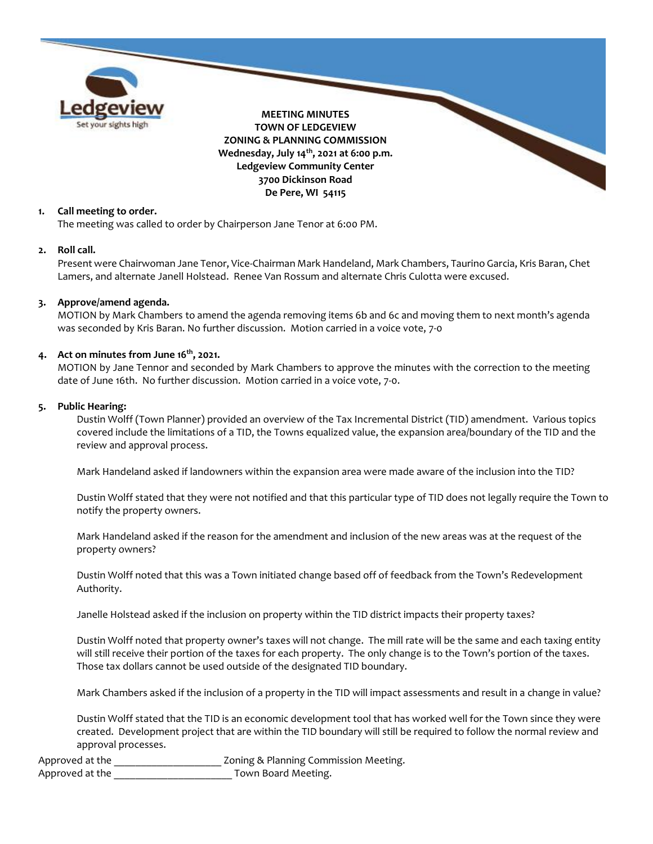

# **1. Call meeting to order.**

The meeting was called to order by Chairperson Jane Tenor at 6:00 PM.

#### **2. Roll call.**

Present were Chairwoman Jane Tenor, Vice-Chairman Mark Handeland, Mark Chambers, Taurino Garcia, Kris Baran, Chet Lamers, and alternate Janell Holstead. Renee Van Rossum and alternate Chris Culotta were excused.

### **3. Approve/amend agenda.**

MOTION by Mark Chambers to amend the agenda removing items 6b and 6c and moving them to next month's agenda was seconded by Kris Baran. No further discussion. Motion carried in a voice vote, 7-0

## **4. Act on minutes from June 16 th, 2021.**

MOTION by Jane Tennor and seconded by Mark Chambers to approve the minutes with the correction to the meeting date of June 16th. No further discussion. Motion carried in a voice vote, 7-0.

#### **5. Public Hearing:**

Dustin Wolff (Town Planner) provided an overview of the Tax Incremental District (TID) amendment. Various topics covered include the limitations of a TID, the Towns equalized value, the expansion area/boundary of the TID and the review and approval process.

Mark Handeland asked if landowners within the expansion area were made aware of the inclusion into the TID?

Dustin Wolff stated that they were not notified and that this particular type of TID does not legally require the Town to notify the property owners.

Mark Handeland asked if the reason for the amendment and inclusion of the new areas was at the request of the property owners?

Dustin Wolff noted that this was a Town initiated change based off of feedback from the Town's Redevelopment Authority.

Janelle Holstead asked if the inclusion on property within the TID district impacts their property taxes?

Dustin Wolff noted that property owner's taxes will not change. The mill rate will be the same and each taxing entity will still receive their portion of the taxes for each property. The only change is to the Town's portion of the taxes. Those tax dollars cannot be used outside of the designated TID boundary.

Mark Chambers asked if the inclusion of a property in the TID will impact assessments and result in a change in value?

Dustin Wolff stated that the TID is an economic development tool that has worked well for the Town since they were created. Development project that are within the TID boundary will still be required to follow the normal review and approval processes.

Approved at the **All and Accord 2018** Zoning & Planning Commission Meeting. Approved at the **August** Town Board Meeting.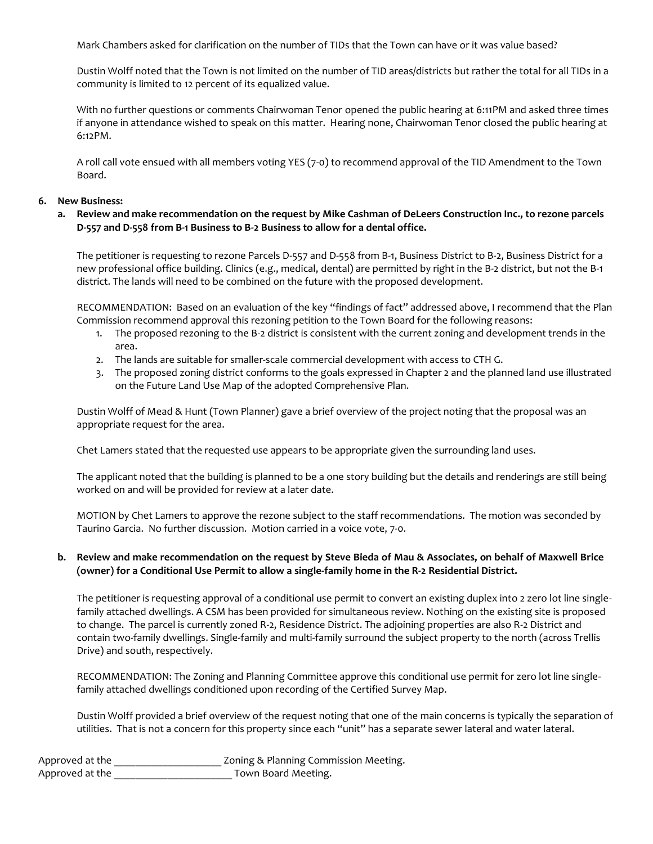Mark Chambers asked for clarification on the number of TIDs that the Town can have or it was value based?

Dustin Wolff noted that the Town is not limited on the number of TID areas/districts but rather the total for all TIDs in a community is limited to 12 percent of its equalized value.

With no further questions or comments Chairwoman Tenor opened the public hearing at 6:11PM and asked three times if anyone in attendance wished to speak on this matter. Hearing none, Chairwoman Tenor closed the public hearing at 6:12PM.

A roll call vote ensued with all members voting YES (7-0) to recommend approval of the TID Amendment to the Town Board.

## **6. New Business:**

# **a. Review and make recommendation on the request by Mike Cashman of DeLeers Construction Inc., to rezone parcels D-557 and D-558 from B-1 Business to B-2 Business to allow for a dental office.**

The petitioner is requesting to rezone Parcels D-557 and D-558 from B-1, Business District to B-2, Business District for a new professional office building. Clinics (e.g., medical, dental) are permitted by right in the B-2 district, but not the B-1 district. The lands will need to be combined on the future with the proposed development.

RECOMMENDATION: Based on an evaluation of the key "findings of fact" addressed above, I recommend that the Plan Commission recommend approval this rezoning petition to the Town Board for the following reasons:

- 1. The proposed rezoning to the B-2 district is consistent with the current zoning and development trends in the area.
- 2. The lands are suitable for smaller-scale commercial development with access to CTH G.
- 3. The proposed zoning district conforms to the goals expressed in Chapter 2 and the planned land use illustrated on the Future Land Use Map of the adopted Comprehensive Plan.

Dustin Wolff of Mead & Hunt (Town Planner) gave a brief overview of the project noting that the proposal was an appropriate request for the area.

Chet Lamers stated that the requested use appears to be appropriate given the surrounding land uses.

The applicant noted that the building is planned to be a one story building but the details and renderings are still being worked on and will be provided for review at a later date.

MOTION by Chet Lamers to approve the rezone subject to the staff recommendations. The motion was seconded by Taurino Garcia. No further discussion. Motion carried in a voice vote, 7-0.

# **b. Review and make recommendation on the request by Steve Bieda of Mau & Associates, on behalf of Maxwell Brice (owner) for a Conditional Use Permit to allow a single-family home in the R-2 Residential District.**

The petitioner is requesting approval of a conditional use permit to convert an existing duplex into 2 zero lot line singlefamily attached dwellings. A CSM has been provided for simultaneous review. Nothing on the existing site is proposed to change. The parcel is currently zoned R-2, Residence District. The adjoining properties are also R-2 District and contain two-family dwellings. Single-family and multi-family surround the subject property to the north (across Trellis Drive) and south, respectively.

RECOMMENDATION: The Zoning and Planning Committee approve this conditional use permit for zero lot line singlefamily attached dwellings conditioned upon recording of the Certified Survey Map.

Dustin Wolff provided a brief overview of the request noting that one of the main concerns is typically the separation of utilities. That is not a concern for this property since each "unit" has a separate sewer lateral and water lateral.

| Approved at the | Zoning & Planning Commission Meeting. |
|-----------------|---------------------------------------|
| Approved at the | Town Board Meeting.                   |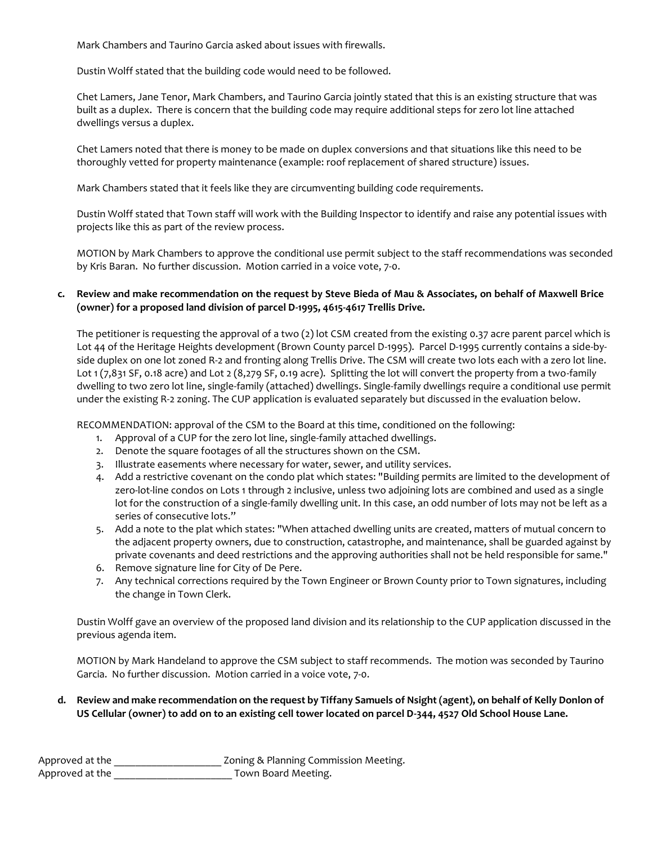Mark Chambers and Taurino Garcia asked about issues with firewalls.

Dustin Wolff stated that the building code would need to be followed.

Chet Lamers, Jane Tenor, Mark Chambers, and Taurino Garcia jointly stated that this is an existing structure that was built as a duplex. There is concern that the building code may require additional steps for zero lot line attached dwellings versus a duplex.

Chet Lamers noted that there is money to be made on duplex conversions and that situations like this need to be thoroughly vetted for property maintenance (example: roof replacement of shared structure) issues.

Mark Chambers stated that it feels like they are circumventing building code requirements.

Dustin Wolff stated that Town staff will work with the Building Inspector to identify and raise any potential issues with projects like this as part of the review process.

MOTION by Mark Chambers to approve the conditional use permit subject to the staff recommendations was seconded by Kris Baran. No further discussion. Motion carried in a voice vote, 7-0.

# **c. Review and make recommendation on the request by Steve Bieda of Mau & Associates, on behalf of Maxwell Brice (owner) for a proposed land division of parcel D-1995, 4615-4617 Trellis Drive.**

The petitioner is requesting the approval of a two (2) lot CSM created from the existing 0.37 acre parent parcel which is Lot 44 of the Heritage Heights development (Brown County parcel D-1995). Parcel D-1995 currently contains a side-byside duplex on one lot zoned R-2 and fronting along Trellis Drive. The CSM will create two lots each with a zero lot line. Lot 1 (7,831 SF, 0.18 acre) and Lot 2 (8,279 SF, 0.19 acre). Splitting the lot will convert the property from a two-family dwelling to two zero lot line, single-family (attached) dwellings. Single-family dwellings require a conditional use permit under the existing R-2 zoning. The CUP application is evaluated separately but discussed in the evaluation below.

RECOMMENDATION: approval of the CSM to the Board at this time, conditioned on the following:

- 1. Approval of a CUP for the zero lot line, single-family attached dwellings.
- 2. Denote the square footages of all the structures shown on the CSM.
- 3. Illustrate easements where necessary for water, sewer, and utility services.
- 4. Add a restrictive covenant on the condo plat which states: "Building permits are limited to the development of zero-lot-line condos on Lots 1 through 2 inclusive, unless two adjoining lots are combined and used as a single lot for the construction of a single-family dwelling unit. In this case, an odd number of lots may not be left as a series of consecutive lots."
- 5. Add a note to the plat which states: "When attached dwelling units are created, matters of mutual concern to the adjacent property owners, due to construction, catastrophe, and maintenance, shall be guarded against by private covenants and deed restrictions and the approving authorities shall not be held responsible for same."
- 6. Remove signature line for City of De Pere.
- 7. Any technical corrections required by the Town Engineer or Brown County prior to Town signatures, including the change in Town Clerk.

Dustin Wolff gave an overview of the proposed land division and its relationship to the CUP application discussed in the previous agenda item.

MOTION by Mark Handeland to approve the CSM subject to staff recommends. The motion was seconded by Taurino Garcia. No further discussion. Motion carried in a voice vote, 7-0.

**d. Review and make recommendation on the request by Tiffany Samuels of Nsight (agent), on behalf of Kelly Donlon of US Cellular (owner) to add on to an existing cell tower located on parcel D-344, 4527 Old School House Lane.**

| Approved at the | Zoning & Planning Commission Meeting. |
|-----------------|---------------------------------------|
| Approved at the | Town Board Meeting.                   |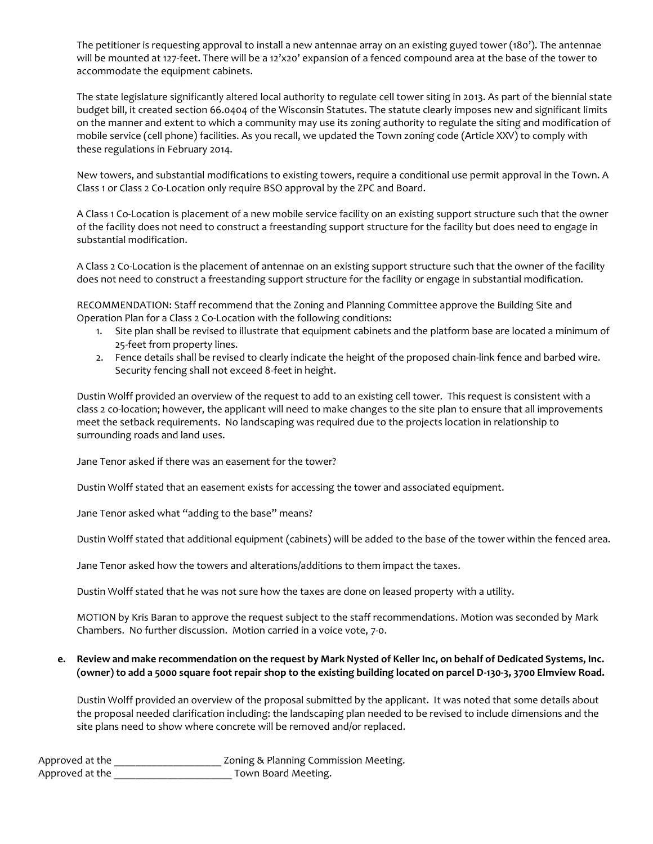The petitioner is requesting approval to install a new antennae array on an existing guyed tower (180'). The antennae will be mounted at 127-feet. There will be a 12'x20' expansion of a fenced compound area at the base of the tower to accommodate the equipment cabinets.

The state legislature significantly altered local authority to regulate cell tower siting in 2013. As part of the biennial state budget bill, it created section 66.0404 of the Wisconsin Statutes. The statute clearly imposes new and significant limits on the manner and extent to which a community may use its zoning authority to regulate the siting and modification of mobile service (cell phone) facilities. As you recall, we updated the Town zoning code (Article XXV) to comply with these regulations in February 2014.

New towers, and substantial modifications to existing towers, require a conditional use permit approval in the Town. A Class 1 or Class 2 Co-Location only require BSO approval by the ZPC and Board.

A Class 1 Co-Location is placement of a new mobile service facility on an existing support structure such that the owner of the facility does not need to construct a freestanding support structure for the facility but does need to engage in substantial modification.

A Class 2 Co-Location is the placement of antennae on an existing support structure such that the owner of the facility does not need to construct a freestanding support structure for the facility or engage in substantial modification.

RECOMMENDATION: Staff recommend that the Zoning and Planning Committee approve the Building Site and Operation Plan for a Class 2 Co-Location with the following conditions:

- 1. Site plan shall be revised to illustrate that equipment cabinets and the platform base are located a minimum of 25-feet from property lines.
- 2. Fence details shall be revised to clearly indicate the height of the proposed chain-link fence and barbed wire. Security fencing shall not exceed 8-feet in height.

Dustin Wolff provided an overview of the request to add to an existing cell tower. This request is consistent with a class 2 co-location; however, the applicant will need to make changes to the site plan to ensure that all improvements meet the setback requirements. No landscaping was required due to the projects location in relationship to surrounding roads and land uses.

Jane Tenor asked if there was an easement for the tower?

Dustin Wolff stated that an easement exists for accessing the tower and associated equipment.

Jane Tenor asked what "adding to the base" means?

Dustin Wolff stated that additional equipment (cabinets) will be added to the base of the tower within the fenced area.

Jane Tenor asked how the towers and alterations/additions to them impact the taxes.

Dustin Wolff stated that he was not sure how the taxes are done on leased property with a utility.

MOTION by Kris Baran to approve the request subject to the staff recommendations. Motion was seconded by Mark Chambers. No further discussion. Motion carried in a voice vote, 7-0.

# **e. Review and make recommendation on the request by Mark Nysted of Keller Inc, on behalf of Dedicated Systems, Inc. (owner) to add a 5000 square foot repair shop to the existing building located on parcel D-130-3, 3700 Elmview Road.**

Dustin Wolff provided an overview of the proposal submitted by the applicant. It was noted that some details about the proposal needed clarification including: the landscaping plan needed to be revised to include dimensions and the site plans need to show where concrete will be removed and/or replaced.

| Approved at the | Zoning & Planning Commission Meeting. |
|-----------------|---------------------------------------|
| Approved at the | Town Board Meeting.                   |